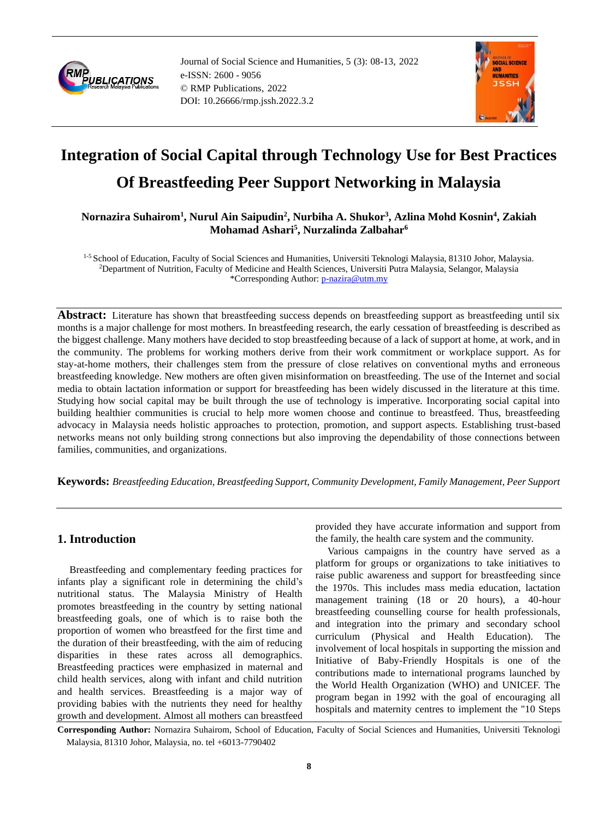

Journal of Social Science and Humanities, 5 (3): 08-13, 2022 e-ISSN: 2600 - 9056 © RMP Publications, 2022 DOI: 10.26666/rmp.jssh.2022.3.2



# **Integration of Social Capital through Technology Use for Best Practices Of Breastfeeding Peer Support Networking in Malaysia**

**Nornazira Suhairom<sup>1</sup> , Nurul Ain Saipudin<sup>2</sup> , Nurbiha A. Shukor<sup>3</sup> , Azlina Mohd Kosnin<sup>4</sup> , Zakiah Mohamad Ashari<sup>5</sup> , Nurzalinda Zalbahar<sup>6</sup>**

<sup>1-5</sup> School of Education, Faculty of Social Sciences and Humanities, Universiti Teknologi Malaysia, 81310 Johor, Malaysia. <sup>2</sup>Department of Nutrition, Faculty of Medicine and Health Sciences, Universiti Putra Malaysia, Selangor, Malaysia \*Corresponding Author: [p-nazira@utm.my](mailto:p-nazira@utm.my)

**Abstract:** Literature has shown that breastfeeding success depends on breastfeeding support as breastfeeding until six months is a major challenge for most mothers. In breastfeeding research, the early cessation of breastfeeding is described as the biggest challenge. Many mothers have decided to stop breastfeeding because of a lack of support at home, at work, and in the community. The problems for working mothers derive from their work commitment or workplace support. As for stay-at-home mothers, their challenges stem from the pressure of close relatives on conventional myths and erroneous breastfeeding knowledge. New mothers are often given misinformation on breastfeeding. The use of the Internet and social media to obtain lactation information or support for breastfeeding has been widely discussed in the literature at this time. Studying how social capital may be built through the use of technology is imperative. Incorporating social capital into building healthier communities is crucial to help more women choose and continue to breastfeed. Thus, breastfeeding advocacy in Malaysia needs holistic approaches to protection, promotion, and support aspects. Establishing trust-based networks means not only building strong connections but also improving the dependability of those connections between families, communities, and organizations.

**Keywords:** *Breastfeeding Education, Breastfeeding Support, Community Development, Family Management, Peer Support*

# **1. Introduction**

Breastfeeding and complementary feeding practices for infants play a significant role in determining the child's nutritional status. The Malaysia Ministry of Health promotes breastfeeding in the country by setting national breastfeeding goals, one of which is to raise both the proportion of women who breastfeed for the first time and the duration of their breastfeeding, with the aim of reducing disparities in these rates across all demographics. Breastfeeding practices were emphasized in maternal and child health services, along with infant and child nutrition and health services. Breastfeeding is a major way of providing babies with the nutrients they need for healthy growth and development. Almost all mothers can breastfeed

provided they have accurate information and support from the family, the health care system and the community.

Various campaigns in the country have served as a platform for groups or organizations to take initiatives to raise public awareness and support for breastfeeding since the 1970s. This includes mass media education, lactation management training (18 or 20 hours), a 40-hour breastfeeding counselling course for health professionals, and integration into the primary and secondary school curriculum (Physical and Health Education). The involvement of local hospitals in supporting the mission and Initiative of Baby-Friendly Hospitals is one of the contributions made to international programs launched by the World Health Organization (WHO) and UNICEF. The program began in 1992 with the goal of encouraging all hospitals and maternity centres to implement the "10 Steps

**Corresponding Author:** Nornazira Suhairom, School of Education, Faculty of Social Sciences and Humanities, Universiti Teknologi Malaysia, 81310 Johor, Malaysia, no. tel +6013-7790402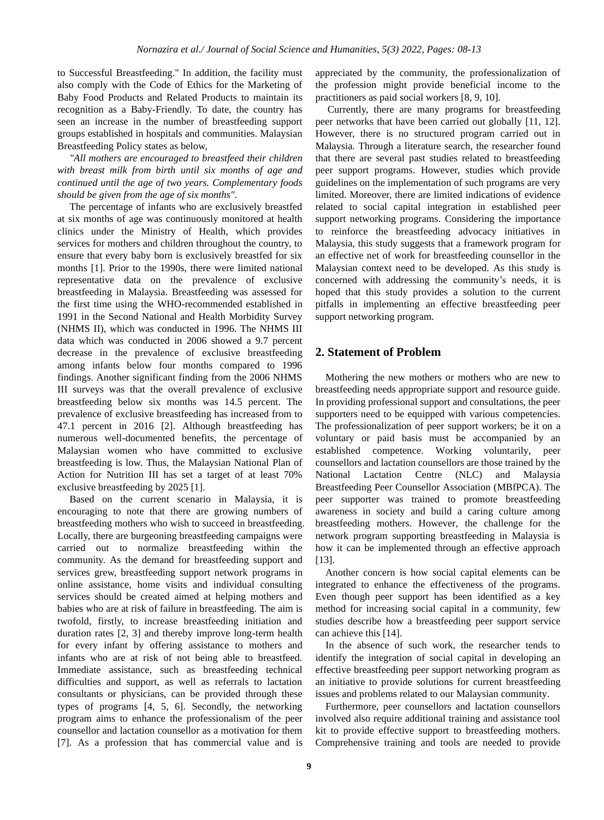to Successful Breastfeeding." In addition, the facility must also comply with the Code of Ethics for the Marketing of Baby Food Products and Related Products to maintain its recognition as a Baby-Friendly. To date, the country has seen an increase in the number of breastfeeding support groups established in hospitals and communities. Malaysian Breastfeeding Policy states as below,

*"All mothers are encouraged to breastfeed their children with breast milk from birth until six months of age and continued until the age of two years. Complementary foods should be given from the age of six months".*

The percentage of infants who are exclusively breastfed at six months of age was continuously monitored at health clinics under the Ministry of Health, which provides services for mothers and children throughout the country, to ensure that every baby born is exclusively breastfed for six months [1]. Prior to the 1990s, there were limited national representative data on the prevalence of exclusive breastfeeding in Malaysia. Breastfeeding was assessed for the first time using the WHO-recommended established in 1991 in the Second National and Health Morbidity Survey (NHMS II), which was conducted in 1996. The NHMS III data which was conducted in 2006 showed a 9.7 percent decrease in the prevalence of exclusive breastfeeding among infants below four months compared to 1996 findings. Another significant finding from the 2006 NHMS III surveys was that the overall prevalence of exclusive breastfeeding below six months was 14.5 percent. The prevalence of exclusive breastfeeding has increased from to 47.1 percent in 2016 [2]. Although breastfeeding has numerous well-documented benefits, the percentage of Malaysian women who have committed to exclusive breastfeeding is low. Thus, the Malaysian National Plan of Action for Nutrition III has set a target of at least 70% exclusive breastfeeding by 2025 [1].

Based on the current scenario in Malaysia, it is encouraging to note that there are growing numbers of breastfeeding mothers who wish to succeed in breastfeeding. Locally, there are burgeoning breastfeeding campaigns were carried out to normalize breastfeeding within the community. As the demand for breastfeeding support and services grew, breastfeeding support network programs in online assistance, home visits and individual consulting services should be created aimed at helping mothers and babies who are at risk of failure in breastfeeding. The aim is twofold, firstly, to increase breastfeeding initiation and duration rates [2, 3] and thereby improve long-term health for every infant by offering assistance to mothers and infants who are at risk of not being able to breastfeed. Immediate assistance, such as breastfeeding technical difficulties and support, as well as referrals to lactation consultants or physicians, can be provided through these types of programs [4, 5, 6]. Secondly, the networking program aims to enhance the professionalism of the peer counsellor and lactation counsellor as a motivation for them [7]. As a profession that has commercial value and is

appreciated by the community, the professionalization of the profession might provide beneficial income to the practitioners as paid social workers [8, 9, 10].

Currently, there are many programs for breastfeeding peer networks that have been carried out globally [11, 12]. However, there is no structured program carried out in Malaysia. Through a literature search, the researcher found that there are several past studies related to breastfeeding peer support programs. However, studies which provide guidelines on the implementation of such programs are very limited. Moreover, there are limited indications of evidence related to social capital integration in established peer support networking programs. Considering the importance to reinforce the breastfeeding advocacy initiatives in Malaysia, this study suggests that a framework program for an effective net of work for breastfeeding counsellor in the Malaysian context need to be developed. As this study is concerned with addressing the community's needs, it is hoped that this study provides a solution to the current pitfalls in implementing an effective breastfeeding peer support networking program.

# **2. Statement of Problem**

Mothering the new mothers or mothers who are new to breastfeeding needs appropriate support and resource guide. In providing professional support and consultations, the peer supporters need to be equipped with various competencies. The professionalization of peer support workers; be it on a voluntary or paid basis must be accompanied by an established competence. Working voluntarily, peer counsellors and lactation counsellors are those trained by the National Lactation Centre (NLC) and Malaysia Breastfeeding Peer Counsellor Association (MBfPCA). The peer supporter was trained to promote breastfeeding awareness in society and build a caring culture among breastfeeding mothers. However, the challenge for the network program supporting breastfeeding in Malaysia is how it can be implemented through an effective approach [13].

Another concern is how social capital elements can be integrated to enhance the effectiveness of the programs. Even though peer support has been identified as a key method for increasing social capital in a community, few studies describe how a breastfeeding peer support service can achieve this [14].

In the absence of such work, the researcher tends to identify the integration of social capital in developing an effective breastfeeding peer support networking program as an initiative to provide solutions for current breastfeeding issues and problems related to our Malaysian community.

Furthermore, peer counsellors and lactation counsellors involved also require additional training and assistance tool kit to provide effective support to breastfeeding mothers. Comprehensive training and tools are needed to provide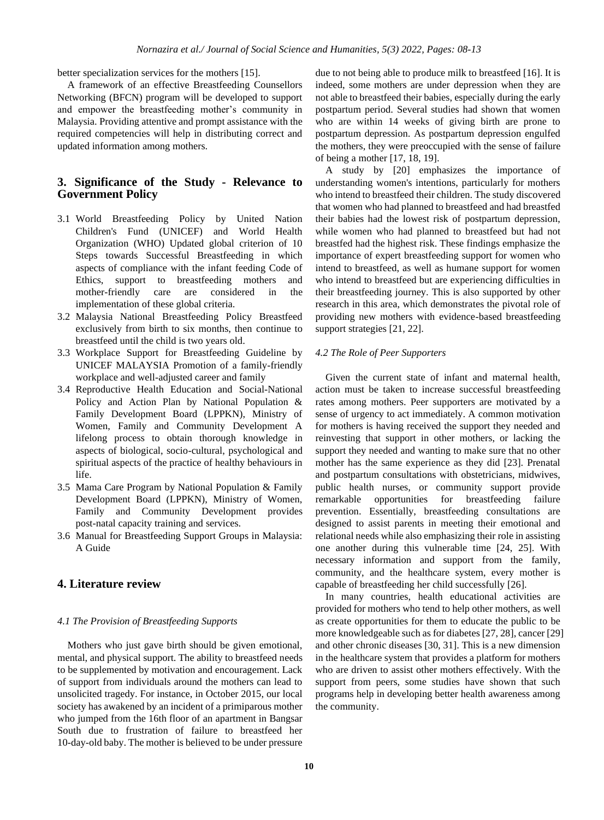better specialization services for the mothers [15].

A framework of an effective Breastfeeding Counsellors Networking (BFCN) program will be developed to support and empower the breastfeeding mother's community in Malaysia. Providing attentive and prompt assistance with the required competencies will help in distributing correct and updated information among mothers.

# **3. Significance of the Study - Relevance to Government Policy**

- 3.1 World Breastfeeding Policy by United Nation Children's Fund (UNICEF) and World Health Organization (WHO) Updated global criterion of 10 Steps towards Successful Breastfeeding in which aspects of compliance with the infant feeding Code of Ethics, support to breastfeeding mothers and mother-friendly care are considered in the implementation of these global criteria.
- 3.2 Malaysia National Breastfeeding Policy Breastfeed exclusively from birth to six months, then continue to breastfeed until the child is two years old.
- 3.3 Workplace Support for Breastfeeding Guideline by UNICEF MALAYSIA Promotion of a family-friendly workplace and well-adjusted career and family
- 3.4 Reproductive Health Education and Social-National Policy and Action Plan by National Population & Family Development Board (LPPKN), Ministry of Women, Family and Community Development A lifelong process to obtain thorough knowledge in aspects of biological, socio-cultural, psychological and spiritual aspects of the practice of healthy behaviours in life.
- 3.5 Mama Care Program by National Population & Family Development Board (LPPKN), Ministry of Women, Family and Community Development provides post-natal capacity training and services.
- 3.6 Manual for Breastfeeding Support Groups in Malaysia: A Guide

## **4. Literature review**

#### *4.1 The Provision of Breastfeeding Supports*

Mothers who just gave birth should be given emotional, mental, and physical support. The ability to breastfeed needs to be supplemented by motivation and encouragement. Lack of support from individuals around the mothers can lead to unsolicited tragedy. For instance, in October 2015, our local society has awakened by an incident of a primiparous mother who jumped from the 16th floor of an apartment in Bangsar South due to frustration of failure to breastfeed her 10-day-old baby. The mother is believed to be under pressure

due to not being able to produce milk to breastfeed [16]. It is indeed, some mothers are under depression when they are not able to breastfeed their babies, especially during the early postpartum period. Several studies had shown that women who are within 14 weeks of giving birth are prone to postpartum depression. As postpartum depression engulfed the mothers, they were preoccupied with the sense of failure of being a mother [17, 18, 19].

A study by [20] emphasizes the importance of understanding women's intentions, particularly for mothers who intend to breastfeed their children. The study discovered that women who had planned to breastfeed and had breastfed their babies had the lowest risk of postpartum depression, while women who had planned to breastfeed but had not breastfed had the highest risk. These findings emphasize the importance of expert breastfeeding support for women who intend to breastfeed, as well as humane support for women who intend to breastfeed but are experiencing difficulties in their breastfeeding journey. This is also supported by other research in this area, which demonstrates the pivotal role of providing new mothers with evidence-based breastfeeding support strategies [21, 22].

#### *4.2 The Role of Peer Supporters*

Given the current state of infant and maternal health, action must be taken to increase successful breastfeeding rates among mothers. Peer supporters are motivated by a sense of urgency to act immediately. A common motivation for mothers is having received the support they needed and reinvesting that support in other mothers, or lacking the support they needed and wanting to make sure that no other mother has the same experience as they did [23]. Prenatal and postpartum consultations with obstetricians, midwives, public health nurses, or community support provide remarkable opportunities for breastfeeding failure prevention. Essentially, breastfeeding consultations are designed to assist parents in meeting their emotional and relational needs while also emphasizing their role in assisting one another during this vulnerable time [24, 25]. With necessary information and support from the family, community, and the healthcare system, every mother is capable of breastfeeding her child successfully [26].

In many countries, health educational activities are provided for mothers who tend to help other mothers, as well as create opportunities for them to educate the public to be more knowledgeable such as for diabetes [27, 28], cancer [29] and other chronic diseases [30, 31]. This is a new dimension in the healthcare system that provides a platform for mothers who are driven to assist other mothers effectively. With the support from peers, some studies have shown that such programs help in developing better health awareness among the community.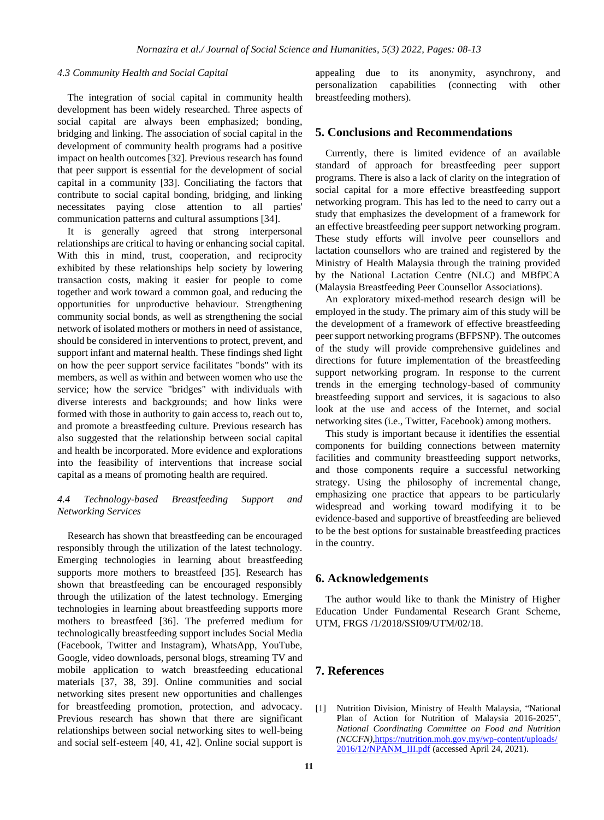## *4.3 Community Health and Social Capital*

The integration of social capital in community health development has been widely researched. Three aspects of social capital are always been emphasized; bonding, bridging and linking. The association of social capital in the development of community health programs had a positive impact on health outcomes [32]. Previous research has found that peer support is essential for the development of social capital in a community [33]. Conciliating the factors that contribute to social capital bonding, bridging, and linking necessitates paying close attention to all parties' communication patterns and cultural assumptions [34].

It is generally agreed that strong interpersonal relationships are critical to having or enhancing social capital. With this in mind, trust, cooperation, and reciprocity exhibited by these relationships help society by lowering transaction costs, making it easier for people to come together and work toward a common goal, and reducing the opportunities for unproductive behaviour. Strengthening community social bonds, as well as strengthening the social network of isolated mothers or mothers in need of assistance, should be considered in interventions to protect, prevent, and support infant and maternal health. These findings shed light on how the peer support service facilitates "bonds" with its members, as well as within and between women who use the service; how the service "bridges" with individuals with diverse interests and backgrounds; and how links were formed with those in authority to gain access to, reach out to, and promote a breastfeeding culture. Previous research has also suggested that the relationship between social capital and health be incorporated. More evidence and explorations into the feasibility of interventions that increase social capital as a means of promoting health are required.

#### *4.4 Technology-based Breastfeeding Support and Networking Services*

Research has shown that breastfeeding can be encouraged responsibly through the utilization of the latest technology. Emerging technologies in learning about breastfeeding supports more mothers to breastfeed [35]. Research has shown that breastfeeding can be encouraged responsibly through the utilization of the latest technology. Emerging technologies in learning about breastfeeding supports more mothers to breastfeed [36]. The preferred medium for technologically breastfeeding support includes Social Media (Facebook, Twitter and Instagram), WhatsApp, YouTube, Google, video downloads, personal blogs, streaming TV and mobile application to watch breastfeeding educational materials [37, 38, 39]. Online communities and social networking sites present new opportunities and challenges for breastfeeding promotion, protection, and advocacy. Previous research has shown that there are significant relationships between social networking sites to well-being and social self-esteem [40, 41, 42]. Online social support is

appealing due to its anonymity, asynchrony, and personalization capabilities (connecting with other breastfeeding mothers).

## **5. Conclusions and Recommendations**

Currently, there is limited evidence of an available standard of approach for breastfeeding peer support programs. There is also a lack of clarity on the integration of social capital for a more effective breastfeeding support networking program. This has led to the need to carry out a study that emphasizes the development of a framework for an effective breastfeeding peer support networking program. These study efforts will involve peer counsellors and lactation counsellors who are trained and registered by the Ministry of Health Malaysia through the training provided by the National Lactation Centre (NLC) and MBfPCA (Malaysia Breastfeeding Peer Counsellor Associations).

An exploratory mixed-method research design will be employed in the study. The primary aim of this study will be the development of a framework of effective breastfeeding peer support networking programs (BFPSNP). The outcomes of the study will provide comprehensive guidelines and directions for future implementation of the breastfeeding support networking program. In response to the current trends in the emerging technology-based of community breastfeeding support and services, it is sagacious to also look at the use and access of the Internet, and social networking sites (i.e., Twitter, Facebook) among mothers.

This study is important because it identifies the essential components for building connections between maternity facilities and community breastfeeding support networks, and those components require a successful networking strategy. Using the philosophy of incremental change, emphasizing one practice that appears to be particularly widespread and working toward modifying it to be evidence-based and supportive of breastfeeding are believed to be the best options for sustainable breastfeeding practices in the country.

## **6. Acknowledgements**

The author would like to thank the Ministry of Higher Education Under Fundamental Research Grant Scheme, UTM, FRGS /1/2018/SSI09/UTM/02/18.

# **7. References**

[1] Nutrition Division, Ministry of Health Malaysia, "National Plan of Action for Nutrition of Malaysia 2016-2025", *National Coordinating Committee on Food and Nutrition (NCCFN)*[,https://nutrition.moh.gov.my/wp-content/uploads/](https://nutrition.moh.gov.my/wp-content/uploads/2016/12/NPANM_III.pdf) [2016/12/NPANM\\_III.pdf](https://nutrition.moh.gov.my/wp-content/uploads/2016/12/NPANM_III.pdf) (accessed April 24, 2021).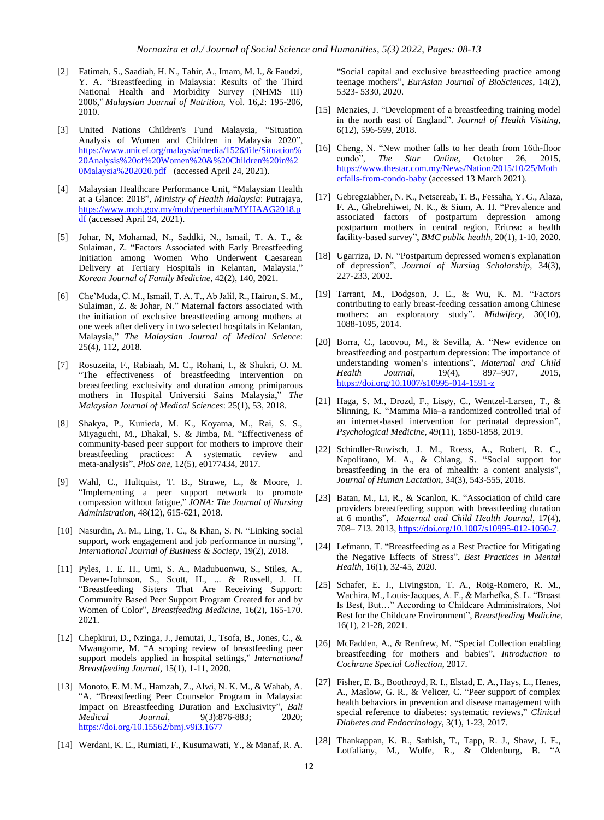- [2] Fatimah, S., Saadiah, H. N., Tahir, A., Imam, M. I., & Faudzi, Y. A. "Breastfeeding in Malaysia: Results of the Third National Health and Morbidity Survey (NHMS III) 2006," *Malaysian Journal of Nutrition*, Vol. 16,2: 195-206, 2010.
- [3] United Nations Children's Fund Malaysia, "Situation Analysis of Women and Children in Malaysia 2020", [https://www.unicef.org/malaysia/media/1526/file/Situation%](https://www.unicef.org/malaysia/media/1526/file/Situation%20Analysis%20of%20Women%20&%20Children%20in%20Malaysia%202020.pdf) [20Analysis%20of%20Women%20&%20Children%20in%2](https://www.unicef.org/malaysia/media/1526/file/Situation%20Analysis%20of%20Women%20&%20Children%20in%20Malaysia%202020.pdf) [0Malaysia%202020.pdf](https://www.unicef.org/malaysia/media/1526/file/Situation%20Analysis%20of%20Women%20&%20Children%20in%20Malaysia%202020.pdf) (accessed April 24, 2021).
- [4] Malaysian Healthcare Performance Unit, "Malaysian Health at a Glance: 2018", *Ministry of Health Malaysia*: Putrajaya, [https://www.moh.gov.my/moh/penerbitan/MYHAAG2018.p](https://www.moh.gov.my/moh/penerbitan/MYHAAG2018.pdf) [df](https://www.moh.gov.my/moh/penerbitan/MYHAAG2018.pdf) (accessed April 24, 2021).
- [5] Johar, N, Mohamad, N., Saddki, N., Ismail, T. A. T., & Sulaiman, Z. "Factors Associated with Early Breastfeeding Initiation among Women Who Underwent Caesarean Delivery at Tertiary Hospitals in Kelantan, Malaysia," *Korean Journal of Family Medicine*, 42(2), 140, 2021.
- [6] Che'Muda, C. M., Ismail, T. A. T., Ab Jalil, R., Hairon, S. M., Sulaiman, Z. & Johar, N." Maternal factors associated with the initiation of exclusive breastfeeding among mothers at one week after delivery in two selected hospitals in Kelantan, Malaysia," *The Malaysian Journal of Medical Science*: 25(4), 112, 2018.
- [7] Rosuzeita, F., Rabiaah, M. C., Rohani, I., & Shukri, O. M. "The effectiveness of breastfeeding intervention on breastfeeding exclusivity and duration among primiparous mothers in Hospital Universiti Sains Malaysia," *The Malaysian Journal of Medical Sciences*: 25(1), 53, 2018.
- [8] Shakya, P., Kunieda, M. K., Koyama, M., Rai, S. S., Miyaguchi, M., Dhakal, S. & Jimba, M. "Effectiveness of community-based peer support for mothers to improve their breastfeeding practices: A systematic review and meta-analysis", *PloS one*, 12(5), e0177434, 2017.
- [9] Wahl, C., Hultquist, T. B., Struwe, L., & Moore, J. "Implementing a peer support network to promote compassion without fatigue," *JONA: The Journal of Nursing Administration*, 48(12), 615-621, 2018.
- [10] Nasurdin, A. M., Ling, T. C., & Khan, S. N. "Linking social support, work engagement and job performance in nursing", *International Journal of Business & Society*, 19(2), 2018.
- [11] Pyles, T. E. H., Umi, S. A., Madubuonwu, S., Stiles, A., Devane-Johnson, S., Scott, H., ... & Russell, J. H. "Breastfeeding Sisters That Are Receiving Support: Community Based Peer Support Program Created for and by Women of Color", *Breastfeeding Medicine*, 16(2), 165-170. 2021.
- [12] Chepkirui, D., Nzinga, J., Jemutai, J., Tsofa, B., Jones, C., & Mwangome, M. "A scoping review of breastfeeding peer support models applied in hospital settings," *International Breastfeeding Journal*, 15(1), 1-11, 2020.
- [13] Monoto, E. M. M., Hamzah, Z., Alwi, N. K. M., & Wahab, A. "A. "Breastfeeding Peer Counselor Program in Malaysia: Impact on Breastfeeding Duration and Exclusivity", *Bali Medical Journal,* 9(3):876-883; 2020; <https://doi.org/10.15562/bmj.v9i3.1677>
- [14] Werdani, K. E., Rumiati, F., Kusumawati, Y., & Manaf, R. A.

"Social capital and exclusive breastfeeding practice among teenage mothers", *EurAsian Journal of BioSciences*, 14(2), 5323- 5330, 2020.

- [15] Menzies, J. "Development of a breastfeeding training model in the north east of England". *Journal of Health Visiting*, 6(12), 596-599, 2018.
- [16] Cheng, N. "New mother falls to her death from 16th-floor condo", *The Star Online*, October 26, 2015, [https://www.thestar.com.my/News/Nation/2015/10/25/Moth](https://www.thestar.com.my/News/Nation/2015/10/25/Motherfalls-from-condo-baby) [erfalls-from-condo-baby](https://www.thestar.com.my/News/Nation/2015/10/25/Motherfalls-from-condo-baby) (accessed 13 March 2021).
- [17] Gebregziabher, N. K., Netsereab, T. B., Fessaha, Y. G., Alaza, F. A., Ghebrehiwet, N. K., & Sium, A. H. "Prevalence and associated factors of postpartum depression among postpartum mothers in central region, Eritrea: a health facility-based survey", *BMC public health*, 20(1), 1-10, 2020.
- [18] Ugarriza, D. N. "Postpartum depressed women's explanation of depression", *Journal of Nursing Scholarship*, 34(3), 227-233, 2002.
- [19] Tarrant, M., Dodgson, J. E., & Wu, K. M. "Factors contributing to early breast-feeding cessation among Chinese mothers: an exploratory study". *Midwifery*, 30(10), 1088-1095, 2014.
- [20] Borra, C., Iacovou, M., & Sevilla, A. "New evidence on breastfeeding and postpartum depression: The importance of understanding women's intentions", *Maternal and Child Health Journal*, 19(4), 897–907, 2015, <https://doi.org/10.1007/s10995-014-1591-z>
- [21] Haga, S. M., Drozd, F., Lisøy, C., Wentzel-Larsen, T., & Slinning, K. "Mamma Mia–a randomized controlled trial of an internet-based intervention for perinatal depression", *Psychological Medicine*, 49(11), 1850-1858, 2019.
- [22] Schindler-Ruwisch, J. M., Roess, A., Robert, R. C., Napolitano, M. A., & Chiang, S. "Social support for breastfeeding in the era of mhealth: a content analysis", *Journal of Human Lactation*, 34(3), 543-555, 2018.
- [23] Batan, M., Li, R., & Scanlon, K. "Association of child care providers breastfeeding support with breastfeeding duration at 6 months", *Maternal and Child Health Journal*, 17(4), 708– 713. 2013, [https://doi.org/10.1007/s10995-012-1050-7.](https://doi.org/10.1007/s10995-012-1050-7)
- [24] Lefmann, T. "Breastfeeding as a Best Practice for Mitigating the Negative Effects of Stress", *Best Practices in Mental Health*, 16(1), 32-45, 2020.
- [25] Schafer, E. J., Livingston, T. A., Roig-Romero, R. M., Wachira, M., Louis-Jacques, A. F., & Marhefka, S. L. "Breast Is Best, But…" According to Childcare Administrators, Not Best for the Childcare Environment", *Breastfeeding Medicine*, 16(1), 21-28, 2021.
- [26] McFadden, A., & Renfrew, M. "Special Collection enabling breastfeeding for mothers and babies", *Introduction to Cochrane Special Collection*, 2017.
- [27] Fisher, E. B., Boothroyd, R. I., Elstad, E. A., Hays, L., Henes, A., Maslow, G. R., & Velicer, C. "Peer support of complex health behaviors in prevention and disease management with special reference to diabetes: systematic reviews," *Clinical Diabetes and Endocrinology*, 3(1), 1-23, 2017.
- [28] Thankappan, K. R., Sathish, T., Tapp, R. J., Shaw, J. E., Lotfaliany, M., Wolfe, R., & Oldenburg, B. "A